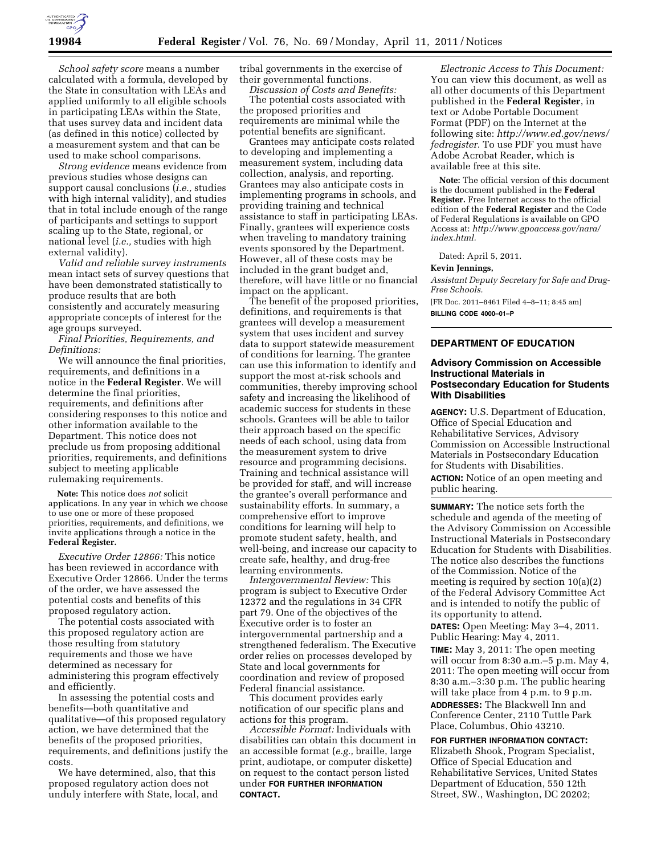

*School safety score* means a number calculated with a formula, developed by the State in consultation with LEAs and applied uniformly to all eligible schools in participating LEAs within the State, that uses survey data and incident data (as defined in this notice) collected by a measurement system and that can be used to make school comparisons.

*Strong evidence* means evidence from previous studies whose designs can support causal conclusions (*i.e.,* studies with high internal validity), and studies that in total include enough of the range of participants and settings to support scaling up to the State, regional, or national level (*i.e.,* studies with high external validity).

*Valid and reliable survey instruments*  mean intact sets of survey questions that have been demonstrated statistically to produce results that are both consistently and accurately measuring appropriate concepts of interest for the age groups surveyed.

*Final Priorities, Requirements, and Definitions:* 

We will announce the final priorities, requirements, and definitions in a notice in the **Federal Register**. We will determine the final priorities, requirements, and definitions after considering responses to this notice and other information available to the Department. This notice does not preclude us from proposing additional priorities, requirements, and definitions subject to meeting applicable rulemaking requirements.

**Note:** This notice does *not* solicit applications. In any year in which we choose to use one or more of these proposed priorities, requirements, and definitions, we invite applications through a notice in the **Federal Register.** 

*Executive Order 12866:* This notice has been reviewed in accordance with Executive Order 12866. Under the terms of the order, we have assessed the potential costs and benefits of this proposed regulatory action.

The potential costs associated with this proposed regulatory action are those resulting from statutory requirements and those we have determined as necessary for administering this program effectively and efficiently.

In assessing the potential costs and benefits—both quantitative and qualitative—of this proposed regulatory action, we have determined that the benefits of the proposed priorities, requirements, and definitions justify the costs.

We have determined, also, that this proposed regulatory action does not unduly interfere with State, local, and

tribal governments in the exercise of their governmental functions.

*Discussion of Costs and Benefits:*  The potential costs associated with the proposed priorities and requirements are minimal while the potential benefits are significant.

Grantees may anticipate costs related to developing and implementing a measurement system, including data collection, analysis, and reporting. Grantees may also anticipate costs in implementing programs in schools, and providing training and technical assistance to staff in participating LEAs. Finally, grantees will experience costs when traveling to mandatory training events sponsored by the Department. However, all of these costs may be included in the grant budget and, therefore, will have little or no financial impact on the applicant.

The benefit of the proposed priorities, definitions, and requirements is that grantees will develop a measurement system that uses incident and survey data to support statewide measurement of conditions for learning. The grantee can use this information to identify and support the most at-risk schools and communities, thereby improving school safety and increasing the likelihood of academic success for students in these schools. Grantees will be able to tailor their approach based on the specific needs of each school, using data from the measurement system to drive resource and programming decisions. Training and technical assistance will be provided for staff, and will increase the grantee's overall performance and sustainability efforts. In summary, a comprehensive effort to improve conditions for learning will help to promote student safety, health, and well-being, and increase our capacity to create safe, healthy, and drug-free learning environments.

*Intergovernmental Review:* This program is subject to Executive Order 12372 and the regulations in 34 CFR part 79. One of the objectives of the Executive order is to foster an intergovernmental partnership and a strengthened federalism. The Executive order relies on processes developed by State and local governments for coordination and review of proposed Federal financial assistance.

This document provides early notification of our specific plans and actions for this program.

*Accessible Format:* Individuals with disabilities can obtain this document in an accessible format (*e.g.,* braille, large print, audiotape, or computer diskette) on request to the contact person listed under **FOR FURTHER INFORMATION CONTACT.** 

*Electronic Access to This Document:*  You can view this document, as well as all other documents of this Department published in the **Federal Register**, in text or Adobe Portable Document Format (PDF) on the Internet at the following site: *[http://www.ed.gov/news/](http://www.ed.gov/news/fedregister) [fedregister.](http://www.ed.gov/news/fedregister)* To use PDF you must have Adobe Acrobat Reader, which is available free at this site.

**Note:** The official version of this document is the document published in the **Federal Register.** Free Internet access to the official edition of the **Federal Register** and the Code of Federal Regulations is available on GPO Access at: *[http://www.gpoaccess.gov/nara/](http://www.gpoaccess.gov/nara/index.html) [index.html.](http://www.gpoaccess.gov/nara/index.html)* 

Dated: April 5, 2011.

### **Kevin Jennings,**

*Assistant Deputy Secretary for Safe and Drug-Free Schools.* 

[FR Doc. 2011–8461 Filed 4–8–11; 8:45 am]

**BILLING CODE 4000–01–P** 

# **DEPARTMENT OF EDUCATION**

### **Advisory Commission on Accessible Instructional Materials in Postsecondary Education for Students With Disabilities**

**AGENCY:** U.S. Department of Education, Office of Special Education and Rehabilitative Services, Advisory Commission on Accessible Instructional Materials in Postsecondary Education for Students with Disabilities.

**ACTION:** Notice of an open meeting and public hearing.

**SUMMARY:** The notice sets forth the schedule and agenda of the meeting of the Advisory Commission on Accessible Instructional Materials in Postsecondary Education for Students with Disabilities. The notice also describes the functions of the Commission. Notice of the meeting is required by section 10(a)(2) of the Federal Advisory Committee Act and is intended to notify the public of its opportunity to attend.

**DATES:** Open Meeting: May 3–4, 2011. Public Hearing: May 4, 2011.

**TIME:** May 3, 2011: The open meeting will occur from 8:30 a.m.–5 p.m. May 4, 2011: The open meeting will occur from 8:30 a.m.–3:30 p.m. The public hearing will take place from 4 p.m. to 9 p.m. **ADDRESSES:** The Blackwell Inn and

Conference Center, 2110 Tuttle Park Place, Columbus, Ohio 43210.

**FOR FURTHER INFORMATION CONTACT:**  Elizabeth Shook, Program Specialist, Office of Special Education and Rehabilitative Services, United States Department of Education, 550 12th Street, SW., Washington, DC 20202;